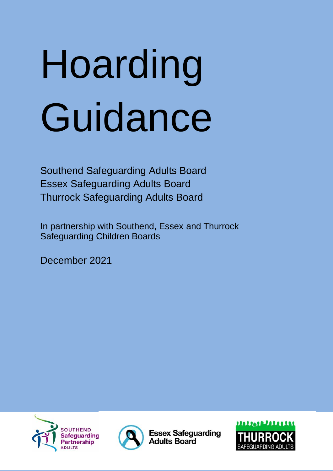# Hoarding Guidance

Southend Safeguarding Adults Board Essex Safeguarding Adults Board Thurrock Safeguarding Adults Board

In partnership with Southend, Essex and Thurrock Safeguarding Children Boards

December 2021





**Essex Safeguarding Adults Board** 

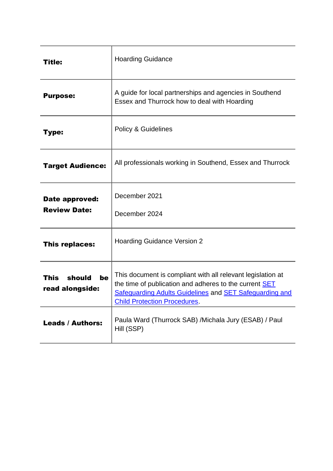| Title:                                         | <b>Hoarding Guidance</b>                                                                                                                                                                                                              |
|------------------------------------------------|---------------------------------------------------------------------------------------------------------------------------------------------------------------------------------------------------------------------------------------|
| <b>Purpose:</b>                                | A guide for local partnerships and agencies in Southend<br>Essex and Thurrock how to deal with Hoarding                                                                                                                               |
| Type:                                          | <b>Policy &amp; Guidelines</b>                                                                                                                                                                                                        |
| <b>Target Audience:</b>                        | All professionals working in Southend, Essex and Thurrock                                                                                                                                                                             |
| Date approved:<br><b>Review Date:</b>          | December 2021<br>December 2024                                                                                                                                                                                                        |
| This replaces:                                 | <b>Hoarding Guidance Version 2</b>                                                                                                                                                                                                    |
| should<br><b>This</b><br>be<br>read alongside: | This document is compliant with all relevant legislation at<br>the time of publication and adheres to the current <b>SET</b><br><b>Safeguarding Adults Guidelines and SET Safeguarding and</b><br><b>Child Protection Procedures.</b> |
| <b>Leads / Authors:</b>                        | Paula Ward (Thurrock SAB) / Michala Jury (ESAB) / Paul<br>Hill (SSP)                                                                                                                                                                  |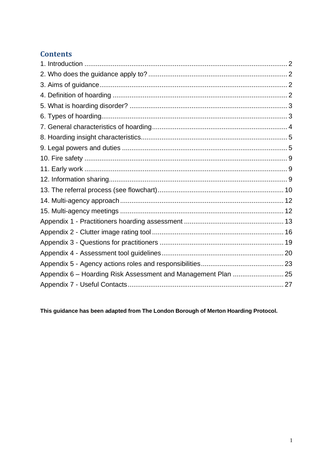### **Contents**

This guidance has been adapted from The London Borough of Merton Hoarding Protocol.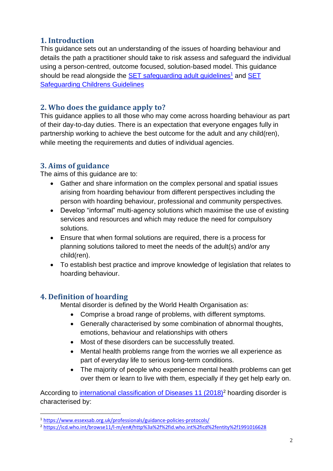#### <span id="page-3-0"></span>**1. Introduction**

This guidance sets out an understanding of the issues of hoarding behaviour and details the path a practitioner should take to risk assess and safeguard the individual using a person-centred, outcome focused, solution-based model. This guidance should be read alongside the **SET** safeguarding adult guidelines<sup>1</sup> and **SET** [Safeguarding Childrens Guidelines](https://www.escb.co.uk/working-with-children/safeguarding-policies-procedures/)

#### <span id="page-3-1"></span>**2. Who does the guidance apply to?**

This guidance applies to all those who may come across hoarding behaviour as part of their day-to-day duties. There is an expectation that everyone engages fully in partnership working to achieve the best outcome for the adult and any child(ren), while meeting the requirements and duties of individual agencies.

#### <span id="page-3-2"></span>**3. Aims of guidance**

The aims of this guidance are to:

- Gather and share information on the complex personal and spatial issues arising from hoarding behaviour from different perspectives including the person with hoarding behaviour, professional and community perspectives.
- Develop "informal" multi-agency solutions which maximise the use of existing services and resources and which may reduce the need for compulsory solutions.
- Ensure that when formal solutions are required, there is a process for planning solutions tailored to meet the needs of the adult(s) and/or any child(ren).
- To establish best practice and improve knowledge of legislation that relates to hoarding behaviour.

#### <span id="page-3-3"></span>**4. Definition of hoarding**

Mental disorder is defined by the World Health Organisation as:

- Comprise a broad range of problems, with different symptoms.
- Generally characterised by some combination of abnormal thoughts, emotions, behaviour and relationships with others
- Most of these disorders can be successfully treated.
- Mental health problems range from the worries we all experience as part of everyday life to serious long-term conditions.
- The majority of people who experience mental health problems can get over them or learn to live with them, especially if they get help early on.

According to [international classification of Diseases 11 \(2018\)](https://icd.who.int/browse11/l-m/en#/http%3a%2f%2fid.who.int%2ficd%2fentity%2f1991016628)<sup>2</sup> hoarding disorder is characterised by:

<sup>1</sup> <https://www.essexsab.org.uk/professionals/guidance-policies-protocols/>

<sup>2</sup> <https://icd.who.int/browse11/l-m/en#/http%3a%2f%2fid.who.int%2ficd%2fentity%2f1991016628>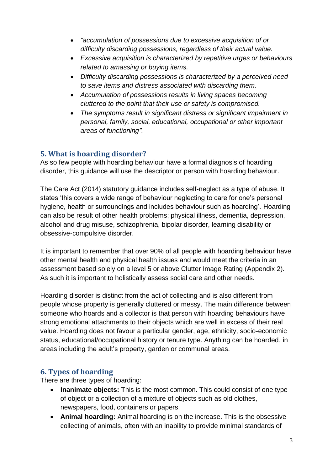- *"accumulation of possessions due to excessive acquisition of or difficulty discarding possessions, regardless of their actual value.*
- *Excessive acquisition is characterized by repetitive urges or behaviours related to amassing or buying items.*
- *Difficulty discarding possessions is characterized by a perceived need to save items and distress associated with discarding them.*
- *Accumulation of possessions results in living spaces becoming cluttered to the point that their use or safety is compromised.*
- *The symptoms result in significant distress or significant impairment in personal, family, social, educational, occupational or other important areas of functioning".*

#### <span id="page-4-0"></span>**5. What is hoarding disorder?**

As so few people with hoarding behaviour have a formal diagnosis of hoarding disorder, this guidance will use the descriptor or person with hoarding behaviour.

The Care Act (2014) statutory guidance includes self-neglect as a type of abuse. It states 'this covers a wide range of behaviour neglecting to care for one's personal hygiene, health or surroundings and includes behaviour such as hoarding'. Hoarding can also be result of other health problems; physical illness, dementia, depression, alcohol and drug misuse, schizophrenia, bipolar disorder, learning disability or obsessive-compulsive disorder.

It is important to remember that over 90% of all people with hoarding behaviour have other mental health and physical health issues and would meet the criteria in an assessment based solely on a level 5 or above Clutter Image Rating (Appendix 2). As such it is important to holistically assess social care and other needs.

Hoarding disorder is distinct from the act of collecting and is also different from people whose property is generally cluttered or messy. The main difference between someone who hoards and a collector is that person with hoarding behaviours have strong emotional attachments to their objects which are well in excess of their real value. Hoarding does not favour a particular gender, age, ethnicity, socio-economic status, educational/occupational history or tenure type. Anything can be hoarded, in areas including the adult's property, garden or communal areas.

#### <span id="page-4-1"></span>**6. Types of hoarding**

There are three types of hoarding:

- **Inanimate objects:** This is the most common. This could consist of one type of object or a collection of a mixture of objects such as old clothes, newspapers, food, containers or papers.
- **Animal hoarding:** Animal hoarding is on the increase. This is the obsessive collecting of animals, often with an inability to provide minimal standards of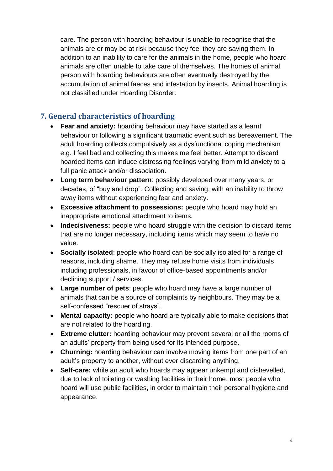care. The person with hoarding behaviour is unable to recognise that the animals are or may be at risk because they feel they are saving them. In addition to an inability to care for the animals in the home, people who hoard animals are often unable to take care of themselves. The homes of animal person with hoarding behaviours are often eventually destroyed by the accumulation of animal faeces and infestation by insects. Animal hoarding is not classified under Hoarding Disorder.

#### <span id="page-5-0"></span>**7. General characteristics of hoarding**

- **Fear and anxiety:** hoarding behaviour may have started as a learnt behaviour or following a significant traumatic event such as bereavement. The adult hoarding collects compulsively as a dysfunctional coping mechanism e.g. I feel bad and collecting this makes me feel better. Attempt to discard hoarded items can induce distressing feelings varying from mild anxiety to a full panic attack and/or dissociation.
- **Long term behaviour pattern**: possibly developed over many years, or decades, of "buy and drop". Collecting and saving, with an inability to throw away items without experiencing fear and anxiety.
- **Excessive attachment to possessions:** people who hoard may hold an inappropriate emotional attachment to items.
- **Indecisiveness:** people who hoard struggle with the decision to discard items that are no longer necessary, including items which may seem to have no value.
- **Socially isolated**: people who hoard can be socially isolated for a range of reasons, including shame. They may refuse home visits from individuals including professionals, in favour of office-based appointments and/or declining support / services.
- **Large number of pets**: people who hoard may have a large number of animals that can be a source of complaints by neighbours. They may be a self-confessed "rescuer of strays".
- **Mental capacity:** people who hoard are typically able to make decisions that are not related to the hoarding.
- **Extreme clutter:** hoarding behaviour may prevent several or all the rooms of an adults' property from being used for its intended purpose.
- **Churning:** hoarding behaviour can involve moving items from one part of an adult's property to another, without ever discarding anything.
- **Self-care:** while an adult who hoards may appear unkempt and dishevelled, due to lack of toileting or washing facilities in their home, most people who hoard will use public facilities, in order to maintain their personal hygiene and appearance.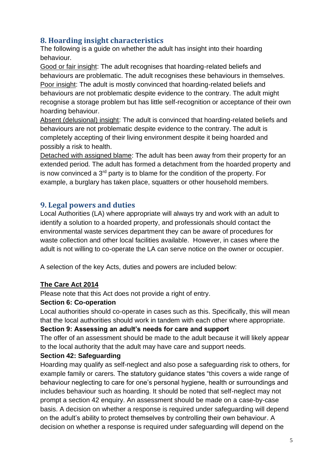#### <span id="page-6-0"></span>**8. Hoarding insight characteristics**

The following is a guide on whether the adult has insight into their hoarding behaviour.

Good or fair insight: The adult recognises that hoarding-related beliefs and behaviours are problematic. The adult recognises these behaviours in themselves. Poor insight: The adult is mostly convinced that hoarding-related beliefs and behaviours are not problematic despite evidence to the contrary. The adult might recognise a storage problem but has little self-recognition or acceptance of their own hoarding behaviour.

Absent (delusional) insight: The adult is convinced that hoarding-related beliefs and behaviours are not problematic despite evidence to the contrary. The adult is completely accepting of their living environment despite it being hoarded and possibly a risk to health.

Detached with assigned blame: The adult has been away from their property for an extended period. The adult has formed a detachment from the hoarded property and is now convinced a  $3<sup>rd</sup>$  party is to blame for the condition of the property. For example, a burglary has taken place, squatters or other household members.

#### <span id="page-6-1"></span>**9. Legal powers and duties**

Local Authorities (LA) where appropriate will always try and work with an adult to identify a solution to a hoarded property, and professionals should contact the environmental waste services department they can be aware of procedures for waste collection and other local facilities available. However, in cases where the adult is not willing to co-operate the LA can serve notice on the owner or occupier.

A selection of the key Acts, duties and powers are included below:

#### **The Care Act 2014**

Please note that this Act does not provide a right of entry.

#### **Section 6: Co-operation**

Local authorities should co-operate in cases such as this. Specifically, this will mean that the local authorities should work in tandem with each other where appropriate.

#### **Section 9: Assessing an adult's needs for care and support**

The offer of an assessment should be made to the adult because it will likely appear to the local authority that the adult may have care and support needs.

#### **Section 42: Safeguarding**

Hoarding may qualify as self-neglect and also pose a safeguarding risk to others, for example family or carers. The statutory guidance states "this covers a wide range of behaviour neglecting to care for one's personal hygiene, health or surroundings and includes behaviour such as hoarding. It should be noted that self-neglect may not prompt a section 42 enquiry. An assessment should be made on a case-by-case basis. A decision on whether a response is required under safeguarding will depend on the adult's ability to protect themselves by controlling their own behaviour. A decision on whether a response is required under safeguarding will depend on the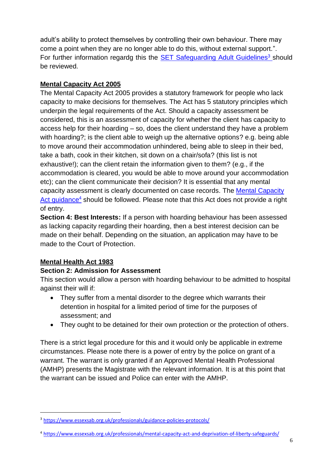adult's ability to protect themselves by controlling their own behaviour. There may come a point when they are no longer able to do this, without external support.". For further information regardg this the [SET Safeguarding Adult Guidelines](http://www.essexsab.org.uk/professionals/guidance-policies-protocols/)<sup>3</sup> should be reviewed.

#### **Mental Capacity Act 2005**

The Mental Capacity Act 2005 provides a statutory framework for people who lack capacity to make decisions for themselves. The Act has 5 statutory principles which underpin the legal requirements of the Act. Should a capacity assessment be considered, this is an assessment of capacity for whether the client has capacity to access help for their hoarding – so, does the client understand they have a problem with hoarding?; is the client able to weigh up the alternative options? e.g. being able to move around their accommodation unhindered, being able to sleep in their bed, take a bath, cook in their kitchen, sit down on a chair/sofa? (this list is not exhaustive!); can the client retain the information given to them? (e.g., if the accommodation is cleared, you would be able to move around your accommodation etc); can the client communicate their decision? It is essential that any mental capacity assessment is clearly documented on case records. The [Mental Capacity](http://www.essexsab.org.uk/professionals/mental-capacity-act-and-deprivation-of-liberty-safeguards/)  [Act guidance](http://www.essexsab.org.uk/professionals/mental-capacity-act-and-deprivation-of-liberty-safeguards/)<sup>4</sup> should be followed. Please note that this Act does not provide a right of entry.

**Section 4: Best Interests:** If a person with hoarding behaviour has been assessed as lacking capacity regarding their hoarding, then a best interest decision can be made on their behalf. Depending on the situation, an application may have to be made to the Court of Protection.

#### **Mental Health Act 1983**

#### **Section 2: Admission for Assessment**

This section would allow a person with hoarding behaviour to be admitted to hospital against their will if:

- They suffer from a mental disorder to the degree which warrants their detention in hospital for a limited period of time for the purposes of assessment; and
- They ought to be detained for their own protection or the protection of others.

There is a strict legal procedure for this and it would only be applicable in extreme circumstances. Please note there is a power of entry by the police on grant of a warrant. The warrant is only granted if an Approved Mental Health Professional (AMHP) presents the Magistrate with the relevant information. It is at this point that the warrant can be issued and Police can enter with the AMHP.

<sup>3</sup> <https://www.essexsab.org.uk/professionals/guidance-policies-protocols/>

<sup>4</sup> https://www.essexsab.org.uk/professionals/mental-capacity-act-and-deprivation-of-liberty-safeguards/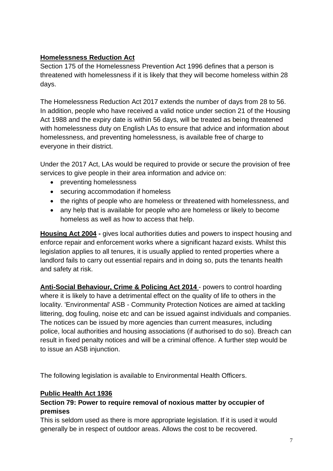#### **Homelessness Reduction Act**

Section 175 of the Homelessness Prevention Act 1996 defines that a person is threatened with homelessness if it is likely that they will become homeless within 28 days.

The Homelessness Reduction Act 2017 extends the number of days from 28 to 56. In addition, people who have received a valid notice under section 21 of the Housing Act 1988 and the expiry date is within 56 days, will be treated as being threatened with homelessness duty on English LAs to ensure that advice and information about homelessness, and preventing homelessness, is available free of charge to everyone in their district.

Under the 2017 Act, LAs would be required to provide or secure the provision of free services to give people in their area information and advice on:

- preventing homelessness
- securing accommodation if homeless
- the rights of people who are homeless or threatened with homelessness, and
- any help that is available for people who are homeless or likely to become homeless as well as how to access that help.

**Housing Act 2004 -** gives local authorities duties and powers to inspect housing and enforce repair and enforcement works where a significant hazard exists. Whilst this legislation applies to all tenures, it is usually applied to rented properties where a landlord fails to carry out essential repairs and in doing so, puts the tenants health and safety at risk.

**Anti-Social Behaviour, Crime & Policing Act 2014** - powers to control hoarding where it is likely to have a detrimental effect on the quality of life to others in the locality. 'Environmental' ASB - Community Protection Notices are aimed at tackling littering, dog fouling, noise etc and can be issued against individuals and companies. The notices can be issued by more agencies than current measures, including police, local authorities and housing associations (if authorised to do so). Breach can result in fixed penalty notices and will be a criminal offence. A further step would be to issue an ASB injunction.

The following legislation is available to Environmental Health Officers.

#### **Public Health Act 1936**

#### **Section 79: Power to require removal of noxious matter by occupier of premises**

This is seldom used as there is more appropriate legislation. If it is used it would generally be in respect of outdoor areas. Allows the cost to be recovered.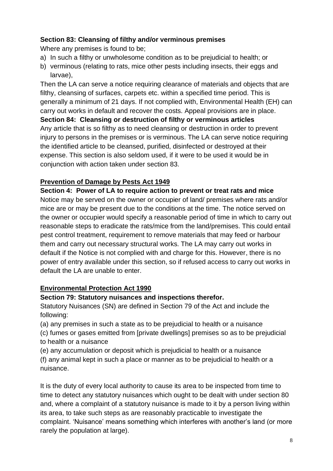#### **Section 83: Cleansing of filthy and/or verminous premises**

Where any premises is found to be;

- a) In such a filthy or unwholesome condition as to be prejudicial to health; or
- b) verminous (relating to rats, mice other pests including insects, their eggs and larvae),

Then the LA can serve a notice requiring clearance of materials and objects that are filthy, cleansing of surfaces, carpets etc. within a specified time period. This is generally a minimum of 21 days. If not complied with, Environmental Health (EH) can carry out works in default and recover the costs. Appeal provisions are in place. **Section 84: Cleansing or destruction of filthy or verminous articles** Any article that is so filthy as to need cleansing or destruction in order to prevent injury to persons in the premises or is verminous. The LA can serve notice requiring the identified article to be cleansed, purified, disinfected or destroyed at their expense. This section is also seldom used, if it were to be used it would be in conjunction with action taken under section 83.

#### **Prevention of Damage by Pests Act 1949**

**Section 4: Power of LA to require action to prevent or treat rats and mice** Notice may be served on the owner or occupier of land/ premises where rats and/or mice are or may be present due to the conditions at the time. The notice served on the owner or occupier would specify a reasonable period of time in which to carry out reasonable steps to eradicate the rats/mice from the land/premises. This could entail pest control treatment, requirement to remove materials that may feed or harbour them and carry out necessary structural works. The LA may carry out works in default if the Notice is not complied with and charge for this. However, there is no power of entry available under this section, so if refused access to carry out works in default the LA are unable to enter.

#### **Environmental Protection Act 1990**

#### **Section 79: Statutory nuisances and inspections therefor.**

Statutory Nuisances (SN) are defined in Section 79 of the Act and include the following:

(a) any premises in such a state as to be prejudicial to health or a nuisance

(c) fumes or gases emitted from [private dwellings] premises so as to be prejudicial to health or a nuisance

(e) any accumulation or deposit which is prejudicial to health or a nuisance (f) any animal kept in such a place or manner as to be prejudicial to health or a nuisance.

It is the duty of every local authority to cause its area to be inspected from time to time to detect any statutory nuisances which ought to be dealt with under section 80 and, where a complaint of a statutory nuisance is made to it by a person living within its area, to take such steps as are reasonably practicable to investigate the complaint. 'Nuisance' means something which interferes with another's land (or more rarely the population at large).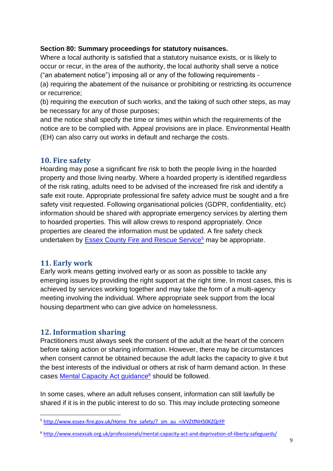#### **Section 80: Summary proceedings for statutory nuisances.**

Where a local authority is satisfied that a statutory nuisance exists, or is likely to occur or recur, in the area of the authority, the local authority shall serve a notice ("an abatement notice") imposing all or any of the following requirements -

(a) requiring the abatement of the nuisance or prohibiting or restricting its occurrence or recurrence;

(b) requiring the execution of such works, and the taking of such other steps, as may be necessary for any of those purposes;

and the notice shall specify the time or times within which the requirements of the notice are to be complied with. Appeal provisions are in place. Environmental Health (EH) can also carry out works in default and recharge the costs.

#### <span id="page-10-0"></span>**10. Fire safety**

Hoarding may pose a significant fire risk to both the people living in the hoarded property and those living nearby. Where a hoarded property is identified regardless of the risk rating, adults need to be advised of the increased fire risk and identify a safe exit route. Appropriate professional fire safety advice must be sought and a fire safety visit requested. Following organisational policies (GDPR, confidentiality, etc) information should be shared with appropriate emergency services by alerting them to hoarded properties. This will allow crews to respond appropriately. Once properties are cleared the information must be updated. A fire safety check undertaken by [Essex County Fire and Rescue Service](http://www.essex-fire.gov.uk/Home_fire_safety/?_sm_au_=iVVZtfNH50KZQrFP)<sup>5</sup> may be appropriate.

#### <span id="page-10-1"></span>**11. Early work**

Early work means getting involved early or as soon as possible to tackle any emerging issues by providing the right support at the right time. In most cases, this is achieved by services working together and may take the form of a multi-agency meeting involving the individual. Where appropriate seek support from the local housing department who can give advice on homelessness.

#### <span id="page-10-2"></span>**12. Information sharing**

Practitioners must always seek the consent of the adult at the heart of the concern before taking action or sharing information. However, there may be circumstances when consent cannot be obtained because the adult lacks the capacity to give it but the best interests of the individual or others at risk of harm demand action. In these cases [Mental Capacity Act guidance](http://www.essexsab.org.uk/professionals/mental-capacity-act-and-deprivation-of-liberty-safeguards/)<sup>6</sup> should be followed.

In some cases, where an adult refuses consent, information can still lawfully be shared if it is in the public interest to do so. This may include protecting someone

<sup>&</sup>lt;sup>5</sup> [http://www.essex-fire.gov.uk/Home\\_fire\\_safety/?\\_sm\\_au\\_=iVVZtfNH50KZQrFP](http://www.essex-fire.gov.uk/Home_fire_safety/?_sm_au_=iVVZtfNH50KZQrFP)

<sup>6</sup> http://www.essexsab.org.uk/professionals/mental-capacity-act-and-deprivation-of-liberty-safeguards/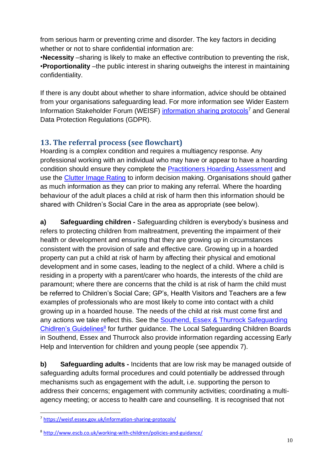from serious harm or preventing crime and disorder. The key factors in deciding whether or not to share confidential information are:

•**Necessity** –sharing is likely to make an effective contribution to preventing the risk, •**Proportionality** –the public interest in sharing outweighs the interest in maintaining confidentiality.

If there is any doubt about whether to share information, advice should be obtained from your organisations safeguarding lead. For more information see Wider Eastern Information Stakeholder Forum (WEISF) [information sharing protocols](https://weisf.essex.gov.uk/information-sharing-protocols/)<sup>7</sup> and General Data Protection Regulations (GDPR).

#### <span id="page-11-0"></span>**13. The referral process (see flowchart)**

Hoarding is a complex condition and requires a multiagency response. Any professional working with an individual who may have or appear to have a hoarding condition should ensure they complete the [Practitioners Hoarding Assessment](#page-14-1) and use the [Clutter Image Rating](#page-17-1) to inform decision making. Organisations should gather as much information as they can prior to making any referral. Where the hoarding behaviour of the adult places a child at risk of harm then this information should be shared with Children's Social Care in the area as appropriate (see below).

**a) Safeguarding children -** Safeguarding children is everybody's business and refers to protecting children from maltreatment, preventing the impairment of their health or development and ensuring that they are growing up in circumstances consistent with the provision of safe and effective care. Growing up in a hoarded property can put a child at risk of harm by affecting their physical and emotional development and in some cases, leading to the neglect of a child. Where a child is residing in a property with a parent/carer who hoards, the interests of the child are paramount; where there are concerns that the child is at risk of harm the child must be referred to Children's Social Care; GP's, Health Visitors and Teachers are a few examples of professionals who are most likely to come into contact with a child growing up in a hoarded house. The needs of the child at risk must come first and any actions we take reflect this. See the [Southend, Essex & Thurrock Safeguarding](https://www.escb.co.uk/working-with-children/safeguarding-policies-procedures/)  [Chidlren's Guidelines](https://www.escb.co.uk/working-with-children/safeguarding-policies-procedures/)<sup>8</sup> for further guidance. The Local Safeguarding Children Boards in Southend, Essex and Thurrock also provide information regarding accessing Early Help and Intervention for children and young people (see appendix 7).

**b) Safeguarding adults -** Incidents that are low risk may be managed outside of safeguarding adults formal procedures and could potentially be addressed through mechanisms such as engagement with the adult, i.e. supporting the person to address their concerns; engagement with community activities; coordinating a multiagency meeting; or access to health care and counselling. It is recognised that not

<sup>7</sup> <https://weisf.essex.gov.uk/information-sharing-protocols/>

<sup>8</sup> <http://www.escb.co.uk/working-with-children/policies-and-guidance/>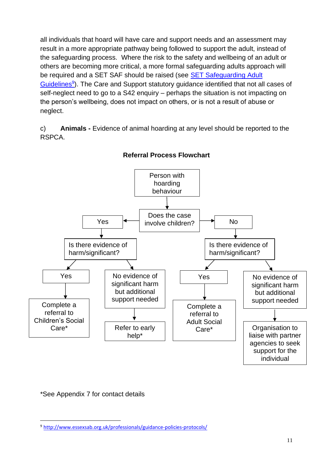all individuals that hoard will have care and support needs and an assessment may result in a more appropriate pathway being followed to support the adult, instead of the safeguarding process. Where the risk to the safety and wellbeing of an adult or others are becoming more critical, a more formal safeguarding adults approach will be required and a SET SAF should be raised (see **SET Safeguarding Adult** [Guidelines](http://www.essexsab.org.uk/professionals/guidance-policies-protocols/)<sup>9</sup>). The Care and Support statutory guidance identified that not all cases of self-neglect need to go to a S42 enquiry – perhaps the situation is not impacting on the person's wellbeing, does not impact on others, or is not a result of abuse or neglect.

c) **Animals -** Evidence of animal hoarding at any level should be reported to the RSPCA.



**Referral Process Flowchart**

\*See Appendix 7 for contact details

<sup>9</sup> http://www.essexsab.org.uk/professionals/guidance-policies-protocols/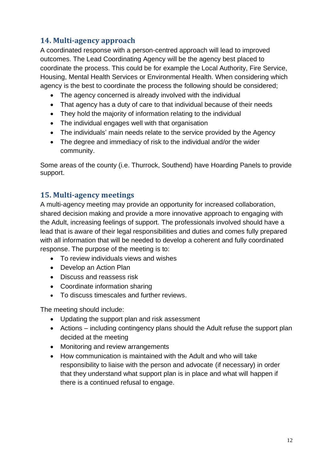#### <span id="page-13-0"></span>**14. Multi-agency approach**

A coordinated response with a person-centred approach will lead to improved outcomes. The Lead Coordinating Agency will be the agency best placed to coordinate the process. This could be for example the Local Authority, Fire Service, Housing, Mental Health Services or Environmental Health. When considering which agency is the best to coordinate the process the following should be considered;

- The agency concerned is already involved with the individual
- That agency has a duty of care to that individual because of their needs
- They hold the majority of information relating to the individual
- The individual engages well with that organisation
- The individuals' main needs relate to the service provided by the Agency
- The degree and immediacy of risk to the individual and/or the wider community.

Some areas of the county (i.e. Thurrock, Southend) have Hoarding Panels to provide support.

#### <span id="page-13-1"></span>**15. Multi-agency meetings**

A multi-agency meeting may provide an opportunity for increased collaboration, shared decision making and provide a more innovative approach to engaging with the Adult, increasing feelings of support. The professionals involved should have a lead that is aware of their legal responsibilities and duties and comes fully prepared with all information that will be needed to develop a coherent and fully coordinated response. The purpose of the meeting is to:

- To review individuals views and wishes
- Develop an Action Plan
- Discuss and reassess risk
- Coordinate information sharing
- To discuss timescales and further reviews.

The meeting should include:

- Updating the support plan and risk assessment
- Actions including contingency plans should the Adult refuse the support plan decided at the meeting
- Monitoring and review arrangements
- How communication is maintained with the Adult and who will take responsibility to liaise with the person and advocate (if necessary) in order that they understand what support plan is in place and what will happen if there is a continued refusal to engage.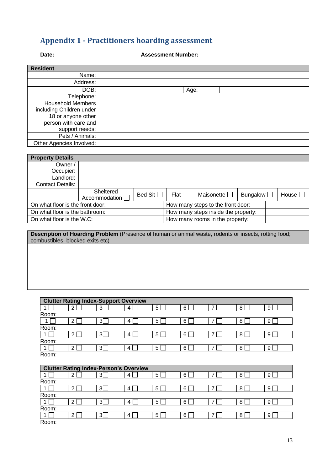#### <span id="page-14-1"></span><span id="page-14-0"></span>**Appendix 1 - Practitioners hoarding assessment**

#### **Date: Assessment Number:**

| <b>Resident</b>          |      |
|--------------------------|------|
| Name:                    |      |
| Address:                 |      |
| DOB:                     | Age: |
| Telephone:               |      |
| <b>Household Members</b> |      |
| including Children under |      |
| 18 or anyone other       |      |
| person with care and     |      |
| support needs:           |      |
| Pets / Animals:          |      |
| Other Agencies Involved: |      |

| <b>Property Details</b>          |                              |                |                                     |                                 |                 |  |                 |
|----------------------------------|------------------------------|----------------|-------------------------------------|---------------------------------|-----------------|--|-----------------|
| Owner /                          |                              |                |                                     |                                 |                 |  |                 |
| Occupier:                        |                              |                |                                     |                                 |                 |  |                 |
| Landlord:                        |                              |                |                                     |                                 |                 |  |                 |
| <b>Contact Details:</b>          |                              |                |                                     |                                 |                 |  |                 |
|                                  | Sheltered<br>Accommodation [ | Bed Sit $\Box$ | Flat $\Box$                         | Maisonette $\square$            | Bungalow $\Box$ |  | House $\square$ |
| On what floor is the front door: |                              |                | How many steps to the front door:   |                                 |                 |  |                 |
| On what floor is the bathroom:   |                              |                | How many steps inside the property: |                                 |                 |  |                 |
| On what floor is the W.C:        |                              |                |                                     | How many rooms in the property: |                 |  |                 |

**Description of Hoarding Problem** (Presence of human or animal waste, rodents or insects, rotting food; combustibles, blocked exits etc)

| <b>Clutter Rating Index-Support Overview</b> |                                               |                |   |                |   |   |   |   |
|----------------------------------------------|-----------------------------------------------|----------------|---|----------------|---|---|---|---|
|                                              | $\overline{2}$                                | 3 <sup>5</sup> | 4 | 5              | 6 | 7 | 8 | 9 |
| Room:                                        |                                               |                |   |                |   |   |   |   |
|                                              | $\overline{2}$                                | 3              | 4 | 5              | 6 | 7 | 8 | 9 |
| Room:                                        |                                               |                |   |                |   |   |   |   |
|                                              | $\overline{2}$                                | 3              | 4 | 5 <sup>5</sup> | 6 | 7 | 8 | 9 |
| Room:                                        |                                               |                |   |                |   |   |   |   |
|                                              | $\overline{2}$                                | 3              | 4 | 5              | 6 | 7 | 8 | 9 |
| Room:                                        |                                               |                |   |                |   |   |   |   |
|                                              |                                               |                |   |                |   |   |   |   |
|                                              | <b>Clutter Rating Index-Person's Overview</b> |                |   |                |   |   |   |   |
|                                              | 2                                             | 3              | 4 | 5              | 6 | 7 | 8 | 9 |
| Room:                                        |                                               |                |   |                |   |   |   |   |
|                                              | $\overline{2}$                                | 3[             | 4 | 5              | 6 | 7 | 8 | 9 |
| Room:                                        |                                               |                |   |                |   |   |   |   |
|                                              | $\overline{2}$                                | 3 <sup>1</sup> | 4 | 5              | 6 | 7 | 8 | 9 |
| Room:                                        |                                               |                |   |                |   |   |   |   |
| 1                                            | 2 <sub>1</sub>                                | 3              | 4 | 5              | 6 |   | 8 | 9 |

1 | 2 | 2 | 3 | 4 | 4 | 5 | 5 | 6 | 7 | 7 | 8 | 9 | 9 Room: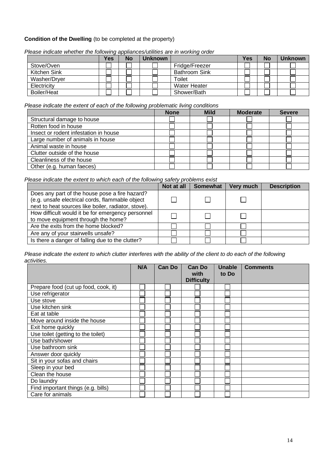#### **Condition of the Dwelling** (to be completed at the property)

|              | Yes | No | Unknown |                      | Yes | <b>No</b> | Unknown |
|--------------|-----|----|---------|----------------------|-----|-----------|---------|
| Stove/Oven   |     |    |         | Fridge/Freezer       |     |           |         |
| Kitchen Sink |     |    |         | <b>Bathroom Sink</b> |     |           |         |
| Washer/Dryer |     |    |         | Toilet               |     |           |         |
| Electricity  |     |    |         | <b>Water Heater</b>  |     |           |         |
| Boiler/Heat  |     |    |         | Shower/Bath          |     |           |         |

*Please indicate whether the following appliances/utilities are in working order*

#### *Please indicate the extent of each of the following problematic living conditions*

|                                       | <b>None</b> | <b>Mild</b> | <b>Moderate</b> | <b>Severe</b> |
|---------------------------------------|-------------|-------------|-----------------|---------------|
| Structural damage to house            |             |             |                 |               |
| Rotten food in house                  |             |             |                 |               |
| Insect or rodent infestation in house |             |             |                 |               |
| Large number of animals in house      |             |             |                 |               |
| Animal waste in house                 |             |             |                 |               |
| Clutter outside of the house          |             |             |                 |               |
| Cleanliness of the house              |             |             |                 |               |
| Other (e.g. human faeces)             |             |             |                 |               |

*Please indicate the extent to which each of the following safety problems exist*

|                                                                                                                                                          | Not at all | <b>Somewhat</b> | Very much | <b>Description</b> |
|----------------------------------------------------------------------------------------------------------------------------------------------------------|------------|-----------------|-----------|--------------------|
| Does any part of the house pose a fire hazard?<br>(e.g. unsafe electrical cords, flammable object<br>next to heat sources like boiler, radiator, stove). |            |                 |           |                    |
| How difficult would it be for emergency personnel<br>to move equipment through the home?                                                                 |            |                 |           |                    |
| Are the exits from the home blocked?                                                                                                                     |            |                 |           |                    |
| Are any of your stairwells unsafe?                                                                                                                       |            |                 |           |                    |
| Is there a danger of falling due to the clutter?                                                                                                         |            |                 |           |                    |

*Please indicate the extent to which clutter interferes with the ability of the client to do each of the following activities.*

|                                      | N/A | <b>Can Do</b> | <b>Can Do</b><br>with<br><b>Difficulty</b> | <b>Unable</b><br>to Do | <b>Comments</b> |
|--------------------------------------|-----|---------------|--------------------------------------------|------------------------|-----------------|
| Prepare food (cut up food, cook, it) |     |               |                                            |                        |                 |
| Use refrigerator                     |     |               |                                            |                        |                 |
| Use stove                            |     |               |                                            |                        |                 |
| Use kitchen sink                     |     |               |                                            |                        |                 |
| Eat at table                         |     |               |                                            |                        |                 |
| Move around inside the house         |     |               |                                            |                        |                 |
| Exit home quickly                    |     |               |                                            |                        |                 |
| Use toilet (getting to the toilet)   |     |               |                                            |                        |                 |
| Use bath/shower                      |     |               |                                            |                        |                 |
| Use bathroom sink                    |     |               |                                            |                        |                 |
| Answer door quickly                  |     |               |                                            |                        |                 |
| Sit in your sofas and chairs         |     |               |                                            |                        |                 |
| Sleep in your bed                    |     |               |                                            |                        |                 |
| Clean the house                      |     |               |                                            |                        |                 |
| Do laundry                           |     |               |                                            |                        |                 |
| Find important things (e.g. bills)   |     |               |                                            |                        |                 |
| Care for animals                     |     |               |                                            |                        |                 |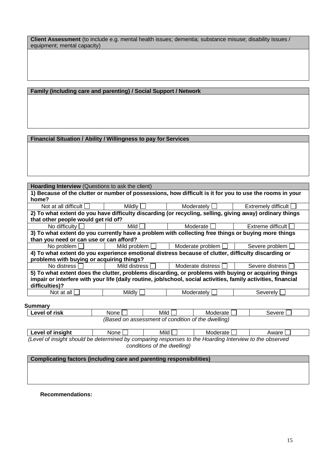**Client Assessment** (to include e.g. mental health issues; dementia; substance misuse; disability issues / equipment; mental capacity)

#### **Family (including care and parenting) / Social Support / Network**

#### **Financial Situation / Ability / Willingness to pay for Services**

| <b>Hoarding Interview</b> (Questions to ask the client)                                                        |                                                                           |                         |                     |  |  |  |  |
|----------------------------------------------------------------------------------------------------------------|---------------------------------------------------------------------------|-------------------------|---------------------|--|--|--|--|
| 1) Because of the clutter or number of possessions, how difficult is it for you to use the rooms in your       |                                                                           |                         |                     |  |  |  |  |
| home?                                                                                                          |                                                                           |                         |                     |  |  |  |  |
|                                                                                                                | Not at all difficult    <br>Mildly<br>Moderately<br>Extremely difficult [ |                         |                     |  |  |  |  |
|                                                                                                                |                                                                           |                         |                     |  |  |  |  |
| 2) To what extent do you have difficulty discarding (or recycling, selling, giving away) ordinary things       |                                                                           |                         |                     |  |  |  |  |
| that other people would get rid of?                                                                            |                                                                           |                         |                     |  |  |  |  |
| No difficulty                                                                                                  | Mild                                                                      | Moderate I              | Extreme difficult I |  |  |  |  |
| 3) To what extent do you currently have a problem with collecting free things or buying more things            |                                                                           |                         |                     |  |  |  |  |
| than you need or can use or can afford?                                                                        |                                                                           |                         |                     |  |  |  |  |
| No problem                                                                                                     | Mild problem $\Box$                                                       | Moderate problem $\Box$ | Severe problem [    |  |  |  |  |
| 4) To what extent do you experience emotional distress because of clutter, difficulty discarding or            |                                                                           |                         |                     |  |  |  |  |
| problems with buying or acquiring things?                                                                      |                                                                           |                         |                     |  |  |  |  |
| No distress                                                                                                    | Mild distress L L                                                         | Moderate distress       | Severe distress     |  |  |  |  |
| 5) To what extent does the clutter, problems discarding, or problems with buying or acquiring things           |                                                                           |                         |                     |  |  |  |  |
| impair or interfere with your life (daily routine, job/school, social activities, family activities, financial |                                                                           |                         |                     |  |  |  |  |
| difficulties)?                                                                                                 |                                                                           |                         |                     |  |  |  |  |
| Not at all                                                                                                     | Mildly                                                                    | Moderately              | Severely            |  |  |  |  |
|                                                                                                                |                                                                           |                         |                     |  |  |  |  |
| Summary                                                                                                        |                                                                           |                         |                     |  |  |  |  |
|                                                                                                                |                                                                           |                         |                     |  |  |  |  |

| <b>Level of risk</b>                                   | None | Mild | Moderate | Severe: |  |  |  |
|--------------------------------------------------------|------|------|----------|---------|--|--|--|
| dwelling<br>(Based on assessment of condition of the d |      |      |          |         |  |  |  |

| Level of insight                                                                                        | None I | Mild | Moderate | Aware I |  |  |  |
|---------------------------------------------------------------------------------------------------------|--------|------|----------|---------|--|--|--|
| (Level of insight should be determined by comparing responses to the Hoarding Interview to the observed |        |      |          |         |  |  |  |
| conditions of the dwelling)                                                                             |        |      |          |         |  |  |  |

**Complicating factors (including care and parenting responsibilities)**

**Recommendations:**

 $\mathcal{L}$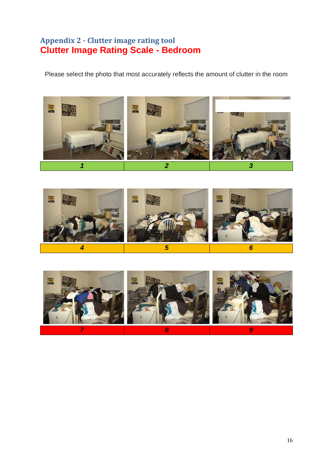#### <span id="page-17-1"></span><span id="page-17-0"></span>**Appendix 2 - Clutter image rating tool Clutter Image Rating Scale - Bedroom**

Please select the photo that most accurately reflects the amount of clutter in the room





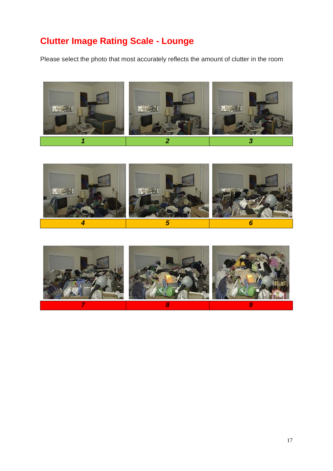# **Clutter Image Rating Scale - Lounge**

Please select the photo that most accurately reflects the amount of clutter in the room





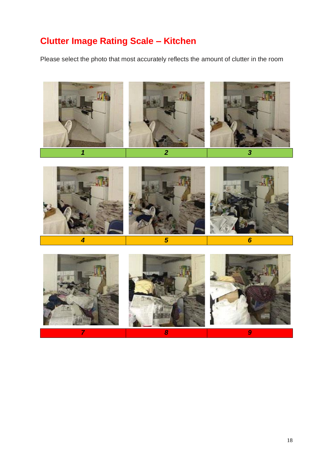# **Clutter Image Rating Scale – Kitchen**

Please select the photo that most accurately reflects the amount of clutter in the room

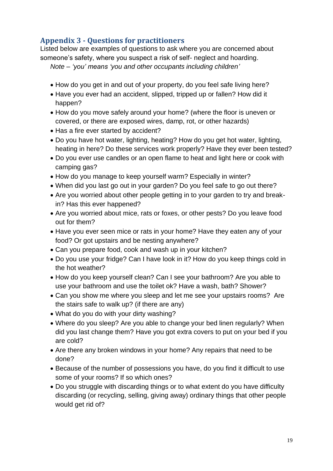#### <span id="page-20-0"></span>**Appendix 3 - Questions for practitioners**

Listed below are examples of questions to ask where you are concerned about someone's safety, where you suspect a risk of self- neglect and hoarding. *Note – 'you' means 'you and other occupants including children'*

- 
- How do you get in and out of your property, do you feel safe living here?
- Have you ever had an accident, slipped, tripped up or fallen? How did it happen?
- How do you move safely around your home? (where the floor is uneven or covered, or there are exposed wires, damp, rot, or other hazards)
- Has a fire ever started by accident?
- Do you have hot water, lighting, heating? How do you get hot water, lighting, heating in here? Do these services work properly? Have they ever been tested?
- Do you ever use candles or an open flame to heat and light here or cook with camping gas?
- How do you manage to keep yourself warm? Especially in winter?
- When did you last go out in your garden? Do you feel safe to go out there?
- Are you worried about other people getting in to your garden to try and breakin? Has this ever happened?
- Are you worried about mice, rats or foxes, or other pests? Do you leave food out for them?
- Have you ever seen mice or rats in your home? Have they eaten any of your food? Or got upstairs and be nesting anywhere?
- Can you prepare food, cook and wash up in your kitchen?
- Do you use your fridge? Can I have look in it? How do you keep things cold in the hot weather?
- How do you keep yourself clean? Can I see your bathroom? Are you able to use your bathroom and use the toilet ok? Have a wash, bath? Shower?
- Can you show me where you sleep and let me see your upstairs rooms? Are the stairs safe to walk up? (if there are any)
- What do you do with your dirty washing?
- Where do you sleep? Are you able to change your bed linen regularly? When did you last change them? Have you got extra covers to put on your bed if you are cold?
- Are there any broken windows in your home? Any repairs that need to be done?
- Because of the number of possessions you have, do you find it difficult to use some of your rooms? If so which ones?
- Do you struggle with discarding things or to what extent do you have difficulty discarding (or recycling, selling, giving away) ordinary things that other people would get rid of?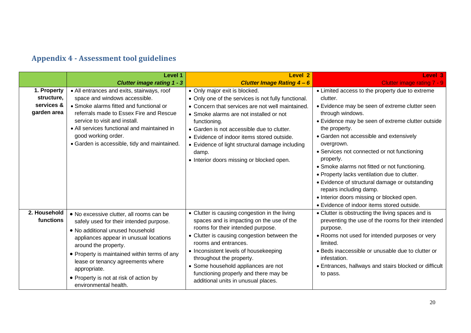# **Appendix 4 - Assessment tool guidelines**

<span id="page-21-0"></span>

|                                                        | Level 1                                                                                                                                                                                                                                                                                                                                                           | Level 2                                                                                                                                                                                                                                                                                                                                                                                                  | Level 3                                                                                                                                                                                                                                                                                                                                                                                                                                                                                                                                                 |  |
|--------------------------------------------------------|-------------------------------------------------------------------------------------------------------------------------------------------------------------------------------------------------------------------------------------------------------------------------------------------------------------------------------------------------------------------|----------------------------------------------------------------------------------------------------------------------------------------------------------------------------------------------------------------------------------------------------------------------------------------------------------------------------------------------------------------------------------------------------------|---------------------------------------------------------------------------------------------------------------------------------------------------------------------------------------------------------------------------------------------------------------------------------------------------------------------------------------------------------------------------------------------------------------------------------------------------------------------------------------------------------------------------------------------------------|--|
|                                                        | <b>Clutter image rating 1 - 3</b>                                                                                                                                                                                                                                                                                                                                 | <b>Clutter Image Rating 4-6</b>                                                                                                                                                                                                                                                                                                                                                                          | Clutter image rating 7 - 9                                                                                                                                                                                                                                                                                                                                                                                                                                                                                                                              |  |
| 1. Property<br>structure,<br>services &<br>garden area | • All entrances and exits, stairways, roof<br>space and windows accessible.<br>• Smoke alarms fitted and functional or<br>referrals made to Essex Fire and Rescue<br>service to visit and install.<br>• All services functional and maintained in<br>good working order.<br>• Garden is accessible, tidy and maintained.                                          | • Only major exit is blocked.<br>• Only one of the services is not fully functional.<br>• Concern that services are not well maintained.<br>• Smoke alarms are not installed or not<br>functioning.<br>• Garden is not accessible due to clutter.<br>• Evidence of indoor items stored outside.<br>• Evidence of light structural damage including<br>damp.<br>• Interior doors missing or blocked open. | • Limited access to the property due to extreme<br>clutter.<br>• Evidence may be seen of extreme clutter seen<br>through windows.<br>• Evidence may be seen of extreme clutter outside<br>the property.<br>• Garden not accessible and extensively<br>overgrown.<br>• Services not connected or not functioning<br>properly.<br>• Smoke alarms not fitted or not functioning.<br>• Property lacks ventilation due to clutter.<br>• Evidence of structural damage or outstanding<br>repairs including damp.<br>• Interior doors missing or blocked open. |  |
| 2. Household<br>functions                              | • No excessive clutter, all rooms can be<br>safely used for their intended purpose.<br>• No additional unused household<br>appliances appear in unusual locations<br>around the property.<br>• Property is maintained within terms of any<br>lease or tenancy agreements where<br>appropriate.<br>• Property is not at risk of action by<br>environmental health. | • Clutter is causing congestion in the living<br>spaces and is impacting on the use of the<br>rooms for their intended purpose.<br>• Clutter is causing congestion between the<br>rooms and entrances.<br>• Inconsistent levels of housekeeping<br>throughout the property.<br>• Some household appliances are not<br>functioning properly and there may be<br>additional units in unusual places.       | · Evidence of indoor items stored outside.<br>• Clutter is obstructing the living spaces and is<br>preventing the use of the rooms for their intended<br>purpose.<br>• Rooms not used for intended purposes or very<br>limited.<br>• Beds inaccessible or unusable due to clutter or<br>infestation.<br>• Entrances, hallways and stairs blocked or difficult<br>to pass.                                                                                                                                                                               |  |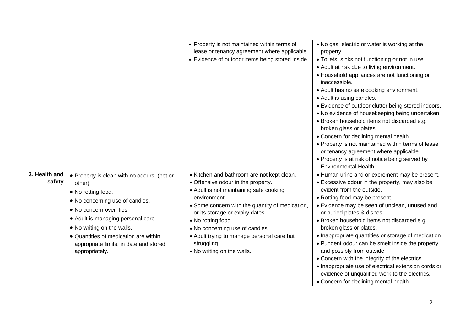|                         |                                                                                                                                                                                                                                                                                                                      | • Property is not maintained within terms of<br>lease or tenancy agreement where applicable.<br>• Evidence of outdoor items being stored inside.                                                                                                                                                                                                                                      | . No gas, electric or water is working at the<br>property.<br>• Toilets, sinks not functioning or not in use.<br>• Adult at risk due to living environment.<br>• Household appliances are not functioning or<br>inaccessible.<br>• Adult has no safe cooking environment.<br>• Adult is using candles.<br>• Evidence of outdoor clutter being stored indoors.<br>• No evidence of housekeeping being undertaken.<br>· Broken household items not discarded e.g.<br>broken glass or plates.<br>• Concern for declining mental health.<br>• Property is not maintained within terms of lease<br>or tenancy agreement where applicable.<br>• Property is at risk of notice being served by<br>Environmental Health. |
|-------------------------|----------------------------------------------------------------------------------------------------------------------------------------------------------------------------------------------------------------------------------------------------------------------------------------------------------------------|---------------------------------------------------------------------------------------------------------------------------------------------------------------------------------------------------------------------------------------------------------------------------------------------------------------------------------------------------------------------------------------|------------------------------------------------------------------------------------------------------------------------------------------------------------------------------------------------------------------------------------------------------------------------------------------------------------------------------------------------------------------------------------------------------------------------------------------------------------------------------------------------------------------------------------------------------------------------------------------------------------------------------------------------------------------------------------------------------------------|
| 3. Health and<br>safety | • Property is clean with no odours, (pet or<br>other).<br>• No rotting food.<br>• No concerning use of candles.<br>• No concern over flies.<br>• Adult is managing personal care.<br>• No writing on the walls.<br>• Quantities of medication are within<br>appropriate limits, in date and stored<br>appropriately. | • Kitchen and bathroom are not kept clean.<br>• Offensive odour in the property.<br>• Adult is not maintaining safe cooking<br>environment.<br>• Some concern with the quantity of medication,<br>or its storage or expiry dates.<br>• No rotting food.<br>• No concerning use of candles.<br>• Adult trying to manage personal care but<br>struggling.<br>• No writing on the walls. | • Human urine and or excrement may be present.<br>• Excessive odour in the property, may also be<br>evident from the outside.<br>• Rotting food may be present.<br>• Evidence may be seen of unclean, unused and<br>or buried plates & dishes.<br>· Broken household items not discarded e.g.<br>broken glass or plates.<br>• Inappropriate quantities or storage of medication.<br>• Pungent odour can be smelt inside the property<br>and possibly from outside.<br>• Concern with the integrity of the electrics.<br>• Inappropriate use of electrical extension cords or<br>evidence of unqualified work to the electrics.<br>• Concern for declining mental health.                                         |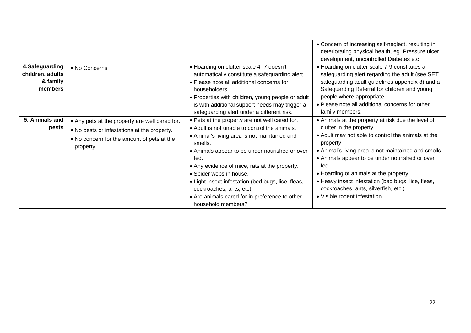|                                                           |                                                                                                                                                         |                                                                                                                                                                                                                                                                                                                                                                                                                                                            | • Concern of increasing self-neglect, resulting in<br>deteriorating physical health, eg. Pressure ulcer<br>development, uncontrolled Diabetes etc                                                                                                                                                                                                                                                                                             |
|-----------------------------------------------------------|---------------------------------------------------------------------------------------------------------------------------------------------------------|------------------------------------------------------------------------------------------------------------------------------------------------------------------------------------------------------------------------------------------------------------------------------------------------------------------------------------------------------------------------------------------------------------------------------------------------------------|-----------------------------------------------------------------------------------------------------------------------------------------------------------------------------------------------------------------------------------------------------------------------------------------------------------------------------------------------------------------------------------------------------------------------------------------------|
| 4.Safeguarding<br>children, adults<br>& family<br>members | • No Concerns                                                                                                                                           | • Hoarding on clutter scale 4 -7 doesn't<br>automatically constitute a safeguarding alert.<br>• Please note all additional concerns for<br>householders.<br>• Properties with children, young people or adult<br>is with additional support needs may trigger a<br>safeguarding alert under a different risk.                                                                                                                                              | • Hoarding on clutter scale 7-9 constitutes a<br>safeguarding alert regarding the adult (see SET<br>safeguarding adult guidelines appendix 8) and a<br>Safeguarding Referral for children and young<br>people where appropriate.<br>• Please note all additional concerns for other<br>family members.                                                                                                                                        |
| 5. Animals and<br>pests                                   | • Any pets at the property are well cared for.<br>• No pests or infestations at the property.<br>• No concern for the amount of pets at the<br>property | . Pets at the property are not well cared for.<br>• Adult is not unable to control the animals.<br>• Animal's living area is not maintained and<br>smells.<br>• Animals appear to be under nourished or over<br>fed.<br>• Any evidence of mice, rats at the property.<br>• Spider webs in house.<br>• Light insect infestation (bed bugs, lice, fleas,<br>cockroaches, ants, etc).<br>• Are animals cared for in preference to other<br>household members? | • Animals at the property at risk due the level of<br>clutter in the property.<br>• Adult may not able to control the animals at the<br>property.<br>• Animal's living area is not maintained and smells.<br>• Animals appear to be under nourished or over<br>fed.<br>• Hoarding of animals at the property.<br>• Heavy insect infestation (bed bugs, lice, fleas,<br>cockroaches, ants, silverfish, etc.).<br>• Visible rodent infestation. |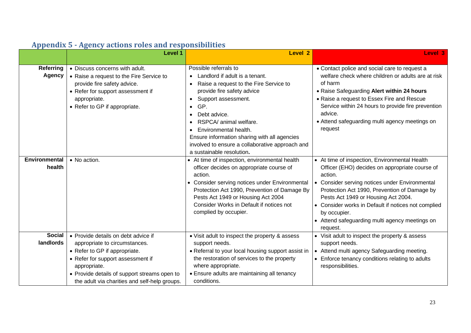<span id="page-24-0"></span>

|                                   | Level 1                                                                                                                                                                                                                                                     | Level 2                                                                                                                                                                                                                                                                                                                                                                                                           | Level 3                                                                                                                                                                                                                                                                                                                                                                                |
|-----------------------------------|-------------------------------------------------------------------------------------------------------------------------------------------------------------------------------------------------------------------------------------------------------------|-------------------------------------------------------------------------------------------------------------------------------------------------------------------------------------------------------------------------------------------------------------------------------------------------------------------------------------------------------------------------------------------------------------------|----------------------------------------------------------------------------------------------------------------------------------------------------------------------------------------------------------------------------------------------------------------------------------------------------------------------------------------------------------------------------------------|
| <b>Referring</b><br><b>Agency</b> | • Discuss concerns with adult.<br>• Raise a request to the Fire Service to<br>provide fire safety advice.<br>• Refer for support assessment if<br>appropriate.<br>• Refer to GP if appropriate.                                                             | Possible referrals to<br>Landlord if adult is a tenant.<br>$\bullet$<br>Raise a request to the Fire Service to<br>$\bullet$<br>provide fire safety advice<br>Support assessment.<br>$\bullet$ GP.<br>Debt advice.<br>RSPCA/ animal welfare.<br>Environmental health.<br>$\bullet$<br>Ensure information sharing with all agencies<br>involved to ensure a collaborative approach and<br>a sustainable resolution. | • Contact police and social care to request a<br>welfare check where children or adults are at risk<br>of harm<br>. Raise Safeguarding Alert within 24 hours<br>• Raise a request to Essex Fire and Rescue<br>Service within 24 hours to provide fire prevention<br>advice.<br>• Attend safeguarding multi agency meetings on<br>request                                               |
| <b>Environmental</b><br>health    | • No action.                                                                                                                                                                                                                                                | • At time of inspection, environmental health<br>officer decides on appropriate course of<br>action.<br>• Consider serving notices under Environmental<br>Protection Act 1990, Prevention of Damage By<br>Pests Act 1949 or Housing Act 2004<br>Consider Works in Default if notices not<br>complied by occupier.                                                                                                 | • At time of inspection, Environmental Health<br>Officer (EHO) decides on appropriate course of<br>action.<br>Consider serving notices under Environmental<br>Protection Act 1990, Prevention of Damage by<br>Pests Act 1949 or Housing Act 2004.<br>• Consider works in Default if notices not complied<br>by occupier.<br>• Attend safeguarding multi agency meetings on<br>request. |
| <b>Social</b><br>landlords        | • Provide details on debt advice if<br>appropriate to circumstances.<br>• Refer to GP if appropriate.<br>• Refer for support assessment if<br>appropriate.<br>• Provide details of support streams open to<br>the adult via charities and self-help groups. | • Visit adult to inspect the property & assess<br>support needs.<br>• Referral to your local housing support assist in<br>the restoration of services to the property<br>where appropriate.<br>• Ensure adults are maintaining all tenancy<br>conditions.                                                                                                                                                         | • Visit adult to inspect the property & assess<br>support needs.<br>Attend multi agency Safeguarding meeting.<br>$\bullet$<br>• Enforce tenancy conditions relating to adults<br>responsibilities.                                                                                                                                                                                     |

#### **Appendix 5 - Agency actions roles and responsibilities**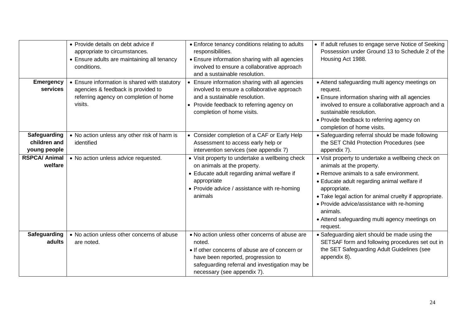|                                              | • Provide details on debt advice if<br>appropriate to circumstances.<br>• Ensure adults are maintaining all tenancy<br>conditions.       | • Enforce tenancy conditions relating to adults<br>responsibilities.<br>• Ensure information sharing with all agencies<br>involved to ensure a collaborative approach<br>and a sustainable resolution.                            | • If adult refuses to engage serve Notice of Seeking<br>Possession under Ground 13 to Schedule 2 of the<br>Housing Act 1988.                                                                                                                                                                                                                                               |
|----------------------------------------------|------------------------------------------------------------------------------------------------------------------------------------------|-----------------------------------------------------------------------------------------------------------------------------------------------------------------------------------------------------------------------------------|----------------------------------------------------------------------------------------------------------------------------------------------------------------------------------------------------------------------------------------------------------------------------------------------------------------------------------------------------------------------------|
| <b>Emergency</b><br>services                 | • Ensure information is shared with statutory<br>agencies & feedback is provided to<br>referring agency on completion of home<br>visits. | • Ensure information sharing with all agencies<br>involved to ensure a collaborative approach<br>and a sustainable resolution.<br>• Provide feedback to referring agency on<br>completion of home visits.                         | • Attend safeguarding multi agency meetings on<br>request.<br>• Ensure information sharing with all agencies<br>involved to ensure a collaborative approach and a<br>sustainable resolution.<br>• Provide feedback to referring agency on<br>completion of home visits.                                                                                                    |
| Safeguarding<br>children and<br>young people | • No action unless any other risk of harm is<br>identified                                                                               | • Consider completion of a CAF or Early Help<br>Assessment to access early help or<br>intervention services (see appendix 7)                                                                                                      | • Safeguarding referral should be made following<br>the SET Child Protection Procedures (see<br>appendix 7).                                                                                                                                                                                                                                                               |
| <b>RSPCA/ Animal</b><br>welfare              | • No action unless advice requested.                                                                                                     | • Visit property to undertake a wellbeing check<br>on animals at the property.<br>• Educate adult regarding animal welfare if<br>appropriate<br>• Provide advice / assistance with re-homing<br>animals                           | • Visit property to undertake a wellbeing check on<br>animals at the property.<br>• Remove animals to a safe environment.<br>• Educate adult regarding animal welfare if<br>appropriate.<br>. Take legal action for animal cruelty if appropriate.<br>• Provide advice/assistance with re-homing<br>animals.<br>• Attend safeguarding multi agency meetings on<br>request. |
| Safeguarding<br>adults                       | • No action unless other concerns of abuse<br>are noted.                                                                                 | . No action unless other concerns of abuse are<br>noted.<br>• If other concerns of abuse are of concern or<br>have been reported, progression to<br>safeguarding referral and investigation may be<br>necessary (see appendix 7). | • Safeguarding alert should be made using the<br>SETSAF form and following procedures set out in<br>the SET Safeguarding Adult Guidelines (see<br>appendix 8).                                                                                                                                                                                                             |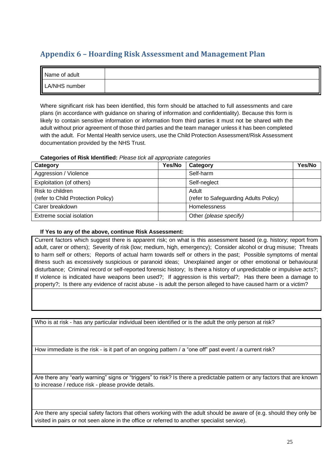#### <span id="page-26-0"></span>**Appendix 6 – Hoarding Risk Assessment and Management Plan**

| Name of adult |  |
|---------------|--|
| LA/NHS number |  |

Where significant risk has been identified, this form should be attached to full assessments and care plans (in accordance with guidance on sharing of information and confidentiality). Because this form is likely to contain sensitive information or information from third parties it must not be shared with the adult without prior agreement of those third parties and the team manager unless it has been completed with the adult. For Mental Health service users, use the Child Protection Assessment/Risk Assessment documentation provided by the NHS Trust.

#### **Categories of Risk Identified:** *Please tick all appropriate categories*

| Category                           | Yes/No | Category                              | Yes/No |
|------------------------------------|--------|---------------------------------------|--------|
| Aggression / Violence              |        | Self-harm                             |        |
| Exploitation (of others)           |        | Self-neglect                          |        |
| Risk to children                   |        | Adult                                 |        |
| (refer to Child Protection Policy) |        | (refer to Safeguarding Adults Policy) |        |
| Carer breakdown                    |        | <b>Homelessness</b>                   |        |
| Extreme social isolation           |        | Other (please specify)                |        |

#### **If Yes to any of the above, continue Risk Assessment:**

Current factors which suggest there is apparent risk; on what is this assessment based (e.g. history; report from adult, carer or others); Severity of risk (low; medium, high, emergency); Consider alcohol or drug misuse; Threats to harm self or others; Reports of actual harm towards self or others in the past; Possible symptoms of mental illness such as excessively suspicious or paranoid ideas; Unexplained anger or other emotional or behavioural disturbance; Criminal record or self-reported forensic history; Is there a history of unpredictable or impulsive acts?; If violence is indicated have weapons been used?; If aggression is this verbal?; Has there been a damage to property?; Is there any evidence of racist abuse - is adult the person alleged to have caused harm or a victim?

Who is at risk - has any particular individual been identified or is the adult the only person at risk?

How immediate is the risk - is it part of an ongoing pattern / a "one off" past event / a current risk?

Are there any "early warning" signs or "triggers" to risk? Is there a predictable pattern or any factors that are known to increase / reduce risk - please provide details.

Are there any special safety factors that others working with the adult should be aware of (e.g. should they only be visited in pairs or not seen alone in the office or referred to another specialist service).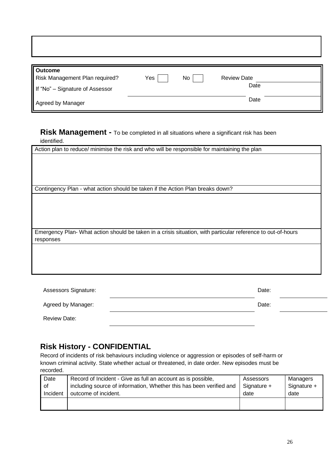| <b>Outcome</b><br>Risk Management Plan required?     | Yes | No | <b>Review Date</b><br>Date |  |
|------------------------------------------------------|-----|----|----------------------------|--|
| If "No" - Signature of Assessor<br>Agreed by Manager |     |    | Date                       |  |

## **Risk Management -** To be completed in all situations where a significant risk has been

identified.

Action plan to reduce/ minimise the risk and who will be responsible for maintaining the plan

Contingency Plan - what action should be taken if the Action Plan breaks down?

Emergency Plan- What action should be taken in a crisis situation, with particular reference to out-of-hours responses

| Assessors Signature: | Date: |
|----------------------|-------|
| Agreed by Manager:   | Date: |
| <b>Review Date:</b>  |       |

#### **Risk History - CONFIDENTIAL**

Record of incidents of risk behaviours including violence or aggression or episodes of self-harm or known criminal activity. State whether actual or threatened, in date order. New episodes must be recorded.

| Date     | Record of Incident - Give as full an account as is possible,        | Assessors   | Managers    |
|----------|---------------------------------------------------------------------|-------------|-------------|
| 0f       | including source of information, Whether this has been verified and | Signature + | Signature + |
| Incident | outcome of incident.                                                | date        | date        |
|          |                                                                     |             |             |